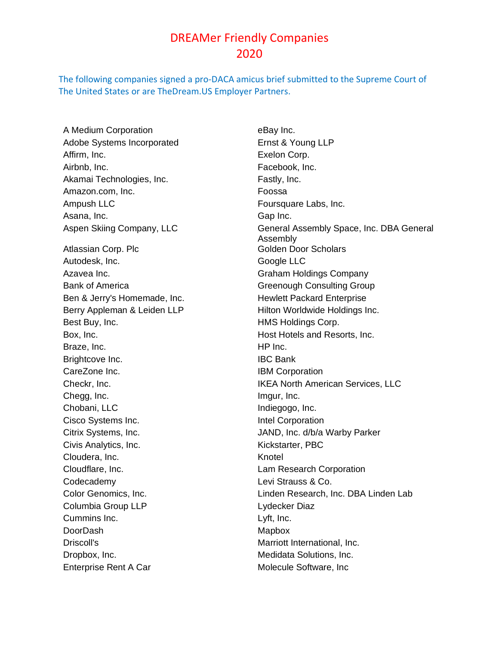## DREAMer Friendly Companies 2020

The following companies signed a pro-DACA amicus brief submitted to the Supreme Court of The United States or are TheDream.US Employer Partners.

A Medium Corporation eBay Inc. Adobe Systems Incorporated Ernst & Young LLP Affirm, Inc. **Exelon Corp.** Airbnb, Inc. **Facebook**, Inc. Akamai Technologies, Inc. **Fastly**, Inc. Amazon.com, Inc. **Foossa** Ampush LLC **Foursquare Labs, Inc.** Asana, Inc. **Gap Inc.** Gap Inc. Atlassian Corp. Plc Golden Door Scholars Autodesk, Inc. **Google LLC** Azavea Inc. **Graham Holdings Company** Bank of America Greenough Consulting Group Ben & Jerry's Homemade, Inc. **Hewlett Packard Enterprise** Best Buy, Inc. **Example 20 Inc.** HMS Holdings Corp. Box, Inc. **Host Hotels and Resorts, Inc. Host Hotels and Resorts, Inc.** Braze, Inc. **Example 20** HP Inc. Brightcove Inc. **IBC Bank** CareZone Inc. **IBM Corporation** Chegg, Inc. **Image 2018** Image 2018 Chobani, LLC Indiegogo, Inc. Cisco Systems Inc. **Intel Corporation** Civis Analytics, Inc. **Kickstarter**, PBC Cloudera, Inc. **Knotel** Cloudflare, Inc. Lam Research Corporation Codecademy Levi Strauss & Co. Columbia Group LLP Lydecker Diaz Cummins Inc. Lyft, Inc. DoorDash Mapbox Driscoll's **Marriott International, Inc.** Dropbox, Inc. **Medidata Solutions**, Inc. Enterprise Rent A Car Molecule Software, Inc

Aspen Skiing Company, LLC General Assembly Space, Inc. DBA General Assembly Berry Appleman & Leiden LLP Hilton Worldwide Holdings Inc. Checkr, Inc. IKEA North American Services, LLC Citrix Systems, Inc. JAND, Inc. d/b/a Warby Parker Color Genomics, Inc. Linden Research, Inc. DBA Linden Lab